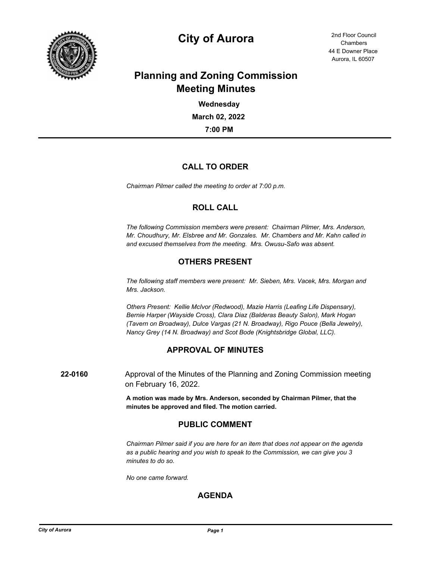

# **City of Aurora** 2nd Floor Council

44 E Downer Place Aurora, IL 60507 **Chambers** 

## **Planning and Zoning Commission Meeting Minutes**

**7:00 PM March 02, 2022 Wednesday**

### **CALL TO ORDER**

*Chairman Pilmer called the meeting to order at 7:00 p.m.*

#### **ROLL CALL**

*The following Commission members were present: Chairman Pilmer, Mrs. Anderson, Mr. Choudhury, Mr. Elsbree and Mr. Gonzales. Mr. Chambers and Mr. Kahn called in and excused themselves from the meeting. Mrs. Owusu-Safo was absent.*

### **OTHERS PRESENT**

*The following staff members were present: Mr. Sieben, Mrs. Vacek, Mrs. Morgan and Mrs. Jackson.*

*Others Present: Kellie McIvor (Redwood), Mazie Harris (Leafing Life Dispensary), Bernie Harper (Wayside Cross), Clara Diaz (Balderas Beauty Salon), Mark Hogan (Tavern on Broadway), Dulce Vargas (21 N. Broadway), Rigo Pouce (Bella Jewelry), Nancy Grey (14 N. Broadway) and Scot Bode (Knightsbridge Global, LLC).*

#### **APPROVAL OF MINUTES**

**22-0160** Approval of the Minutes of the Planning and Zoning Commission meeting on February 16, 2022.

> **A motion was made by Mrs. Anderson, seconded by Chairman Pilmer, that the minutes be approved and filed. The motion carried.**

### **PUBLIC COMMENT**

*Chairman Pilmer said if you are here for an item that does not appear on the agenda as a public hearing and you wish to speak to the Commission, we can give you 3 minutes to do so.*

*No one came forward.*

#### **AGENDA**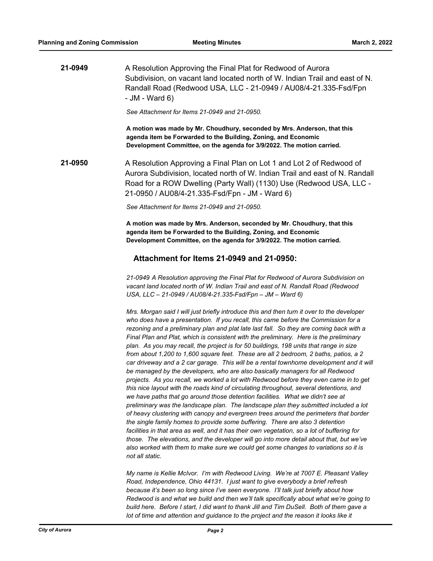**21-0949** A Resolution Approving the Final Plat for Redwood of Aurora Subdivision, on vacant land located north of W. Indian Trail and east of N. Randall Road (Redwood USA, LLC - 21-0949 / AU08/4-21.335-Fsd/Fpn - JM - Ward 6)

*See Attachment for Items 21-0949 and 21-0950.*

**A motion was made by Mr. Choudhury, seconded by Mrs. Anderson, that this agenda item be Forwarded to the Building, Zoning, and Economic Development Committee, on the agenda for 3/9/2022. The motion carried.**

**21-0950** A Resolution Approving a Final Plan on Lot 1 and Lot 2 of Redwood of Aurora Subdivision, located north of W. Indian Trail and east of N. Randall Road for a ROW Dwelling (Party Wall) (1130) Use (Redwood USA, LLC - 21-0950 / AU08/4-21.335-Fsd/Fpn - JM - Ward 6)

*See Attachment for Items 21-0949 and 21-0950.*

**A motion was made by Mrs. Anderson, seconded by Mr. Choudhury, that this agenda item be Forwarded to the Building, Zoning, and Economic Development Committee, on the agenda for 3/9/2022. The motion carried.**

#### **Attachment for Items 21-0949 and 21-0950:**

*21-0949 A Resolution approving the Final Plat for Redwood of Aurora Subdivision on vacant land located north of W. Indian Trail and east of N. Randall Road (Redwood USA, LLC – 21-0949 / AU08/4-21.335-Fsd/Fpn – JM – Ward 6)*

*Mrs. Morgan said I will just briefly introduce this and then turn it over to the developer who does have a presentation. If you recall, this came before the Commission for a rezoning and a preliminary plan and plat late last fall. So they are coming back with a Final Plan and Plat, which is consistent with the preliminary. Here is the preliminary plan. As you may recall, the project is for 50 buildings, 198 units that range in size from about 1,200 to 1,600 square feet. These are all 2 bedroom, 2 baths, patios, a 2 car driveway and a 2 car garage. This will be a rental townhome development and it will be managed by the developers, who are also basically managers for all Redwood projects. As you recall, we worked a lot with Redwood before they even came in to get this nice layout with the roads kind of circulating throughout, several detentions, and we have paths that go around those detention facilities. What we didn't see at preliminary was the landscape plan. The landscape plan they submitted included a lot of heavy clustering with canopy and evergreen trees around the perimeters that border the single family homes to provide some buffering. There are also 3 detention*  facilities in that area as well, and it has their own vegetation, so a lot of buffering for *those. The elevations, and the developer will go into more detail about that, but we've also worked with them to make sure we could get some changes to variations so it is not all static.*

*My name is Kellie McIvor. I'm with Redwood Living. We're at 7007 E. Pleasant Valley Road, Independence, Ohio 44131. I just want to give everybody a brief refresh because it's been so long since I've seen everyone. I'll talk just briefly about how Redwood is and what we build and then we'll talk specifically about what we're going to build here. Before I start, I did want to thank Jill and Tim DuSell. Both of them gave a lot of time and attention and guidance to the project and the reason it looks like it*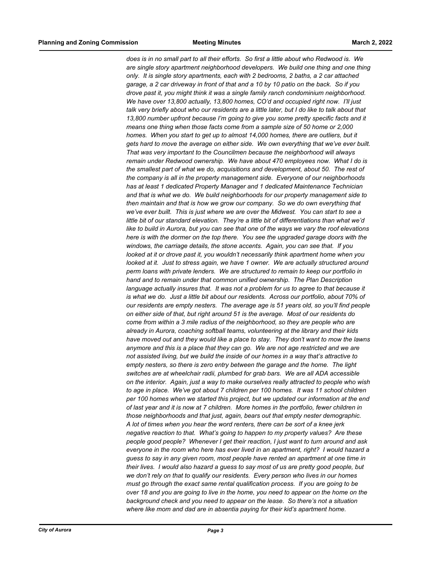*does is in no small part to all their efforts. So first a little about who Redwood is. We are single story apartment neighborhood developers. We build one thing and one thing only. It is single story apartments, each with 2 bedrooms, 2 baths, a 2 car attached garage, a 2 car driveway in front of that and a 10 by 10 patio on the back. So if you drove past it, you might think it was a single family ranch condominium neighborhood. We have over 13,800 actually, 13,800 homes, CO'd and occupied right now. I'll just talk very briefly about who our residents are a little later, but I do like to talk about that 13,800 number upfront because I'm going to give you some pretty specific facts and it means one thing when those facts come from a sample size of 50 home or 2,000*  homes. When you start to get up to almost 14,000 homes, there are outliers, but it *gets hard to move the average on either side. We own everything that we've ever built. That was very important to the Councilmen because the neighborhood will always remain under Redwood ownership. We have about 470 employees now. What I do is the smallest part of what we do, acquisitions and development, about 50. The rest of the company is all in the property management side. Everyone of our neighborhoods has at least 1 dedicated Property Manager and 1 dedicated Maintenance Technician and that is what we do. We build neighborhoods for our property management side to then maintain and that is how we grow our company. So we do own everything that we've ever built. This is just where we are over the Midwest. You can start to see a little bit of our standard elevation. They're a little bit of differentiations than what we'd like to build in Aurora, but you can see that one of the ways we vary the roof elevations here is with the dormer on the top there. You see the upgraded garage doors with the windows, the carriage details, the stone accents. Again, you can see that. If you looked at it or drove past it, you wouldn't necessarily think apartment home when you looked at it. Just to stress again, we have 1 owner. We are actually structured around perm loans with private lenders. We are structured to remain to keep our portfolio in hand and to remain under that common unified ownership. The Plan Description language actually insures that. It was not a problem for us to agree to that because it is what we do. Just a little bit about our residents. Across our portfolio, about 70% of our residents are empty nesters. The average age is 51 years old, so you'll find people on either side of that, but right around 51 is the average. Most of our residents do come from within a 3 mile radius of the neighborhood, so they are people who are already in Aurora, coaching softball teams, volunteering at the library and their kids have moved out and they would like a place to stay. They don't want to mow the lawns anymore and this is a place that they can go. We are not age restricted and we are not assisted living, but we build the inside of our homes in a way that's attractive to empty nesters, so there is zero entry between the garage and the home. The light switches are at wheelchair radii, plumbed for grab bars. We are all ADA accessible on the interior. Again, just a way to make ourselves really attracted to people who wish to age in place. We've got about 7 children per 100 homes. It was 11 school children per 100 homes when we started this project, but we updated our information at the end of last year and it is now at 7 children. More homes in the portfolio, fewer children in those neighborhoods and that just, again, bears out that empty nester demographic. A lot of times when you hear the word renters, there can be sort of a knee jerk negative reaction to that. What's going to happen to my property values? Are these people good people? Whenever I get their reaction, I just want to turn around and ask everyone in the room who here has ever lived in an apartment, right? I would hazard a guess to say in any given room, most people have rented an apartment at one time in their lives. I would also hazard a guess to say most of us are pretty good people, but we don't rely on that to qualify our residents. Every person who lives in our homes must go through the exact same rental qualification process. If you are going to be over 18 and you are going to live in the home, you need to appear on the home on the background check and you need to appear on the lease. So there's not a situation where like mom and dad are in absentia paying for their kid's apartment home.*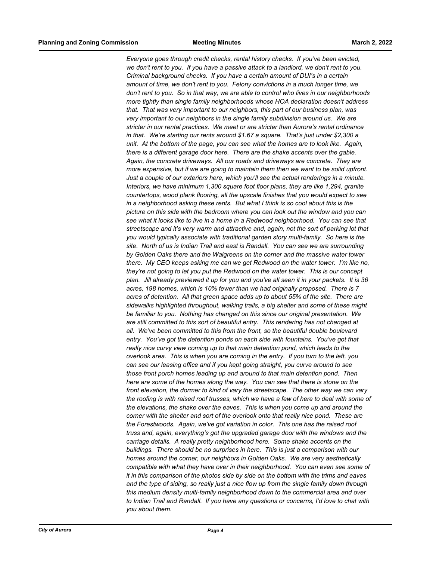*Everyone goes through credit checks, rental history checks. If you've been evicted, we don't rent to you. If you have a passive attack to a landlord, we don't rent to you. Criminal background checks. If you have a certain amount of DUI's in a certain amount of time, we don't rent to you. Felony convictions in a much longer time, we don't rent to you. So in that way, we are able to control who lives in our neighborhoods more tightly than single family neighborhoods whose HOA declaration doesn't address that. That was very important to our neighbors, this part of our business plan, was very important to our neighbors in the single family subdivision around us. We are stricter in our rental practices. We meet or are stricter than Aurora's rental ordinance in that. We're starting our rents around \$1.67 a square. That's just under \$2,300 a unit. At the bottom of the page, you can see what the homes are to look like. Again, there is a different garage door here. There are the shake accents over the gable. Again, the concrete driveways. All our roads and driveways are concrete. They are more expensive, but if we are going to maintain them then we want to be solid upfront. Just a couple of our exteriors here, which you'll see the actual renderings in a minute. Interiors, we have minimum 1,300 square foot floor plans, they are like 1,294, granite countertops, wood plank flooring, all the upscale finishes that you would expect to see in a neighborhood asking these rents. But what I think is so cool about this is the picture on this side with the bedroom where you can look out the window and you can see what it looks like to live in a home in a Redwood neighborhood. You can see that streetscape and it's very warm and attractive and, again, not the sort of parking lot that you would typically associate with traditional garden story multi-family. So here is the site. North of us is Indian Trail and east is Randall. You can see we are surrounding by Golden Oaks there and the Walgreens on the corner and the massive water tower there. My CEO keeps asking me can we get Redwood on the water tower. I'm like no, they're not going to let you put the Redwood on the water tower. This is our concept plan. Jill already previewed it up for you and you've all seen it in your packets. It is 36 acres, 198 homes, which is 10% fewer than we had originally proposed. There is 7 acres of detention. All that green space adds up to about 55% of the site. There are sidewalks highlighted throughout, walking trails, a big shelter and some of these might be familiar to you. Nothing has changed on this since our original presentation. We are still committed to this sort of beautiful entry. This rendering has not changed at all. We've been committed to this from the front, so the beautiful double boulevard entry. You've got the detention ponds on each side with fountains. You've got that really nice curvy view coming up to that main detention pond, which leads to the overlook area. This is when you are coming in the entry. If you turn to the left, you can see our leasing office and if you kept going straight, you curve around to see those front porch homes leading up and around to that main detention pond. Then here are some of the homes along the way. You can see that there is stone on the front elevation, the dormer to kind of vary the streetscape. The other way we can vary the roofing is with raised roof trusses, which we have a few of here to deal with some of the elevations, the shake over the eaves. This is when you come up and around the corner with the shelter and sort of the overlook onto that really nice pond. These are the Forestwoods. Again, we've got variation in color. This one has the raised roof truss and, again, everything's got the upgraded garage door with the windows and the carriage details. A really pretty neighborhood here. Some shake accents on the buildings. There should be no surprises in here. This is just a comparison with our homes around the corner, our neighbors in Golden Oaks. We are very aesthetically compatible with what they have over in their neighborhood. You can even see some of it in this comparison of the photos side by side on the bottom with the trims and eaves and the type of siding, so really just a nice flow up from the single family down through this medium density multi-family neighborhood down to the commercial area and over to Indian Trail and Randall. If you have any questions or concerns, I'd love to chat with you about them.*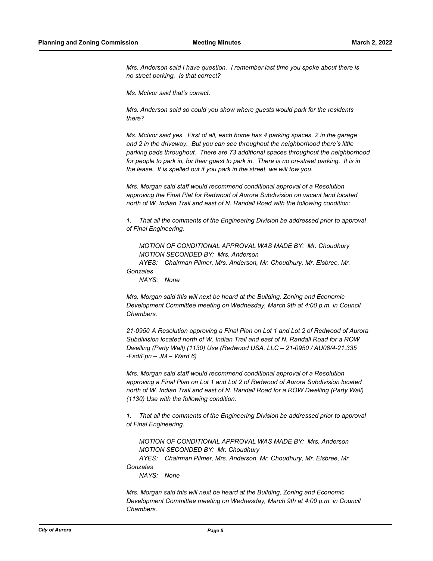*Mrs. Anderson said I have question. I remember last time you spoke about there is no street parking. Is that correct?*

*Ms. McIvor said that's correct.*

*Mrs. Anderson said so could you show where guests would park for the residents there?*

*Ms. McIvor said yes. First of all, each home has 4 parking spaces, 2 in the garage and 2 in the driveway. But you can see throughout the neighborhood there's little parking pads throughout. There are 73 additional spaces throughout the neighborhood*  for people to park in, for their guest to park in. There is no on-street parking. It is in *the lease. It is spelled out if you park in the street, we will tow you.*

*Mrs. Morgan said staff would recommend conditional approval of a Resolution approving the Final Plat for Redwood of Aurora Subdivision on vacant land located north of W. Indian Trail and east of N. Randall Road with the following condition:*

*1. That all the comments of the Engineering Division be addressed prior to approval of Final Engineering.*

*MOTION OF CONDITIONAL APPROVAL WAS MADE BY: Mr. Choudhury MOTION SECONDED BY: Mrs. Anderson*

*AYES: Chairman Pilmer, Mrs. Anderson, Mr. Choudhury, Mr. Elsbree, Mr. Gonzales*

*NAYS: None*

*Mrs. Morgan said this will next be heard at the Building, Zoning and Economic Development Committee meeting on Wednesday, March 9th at 4:00 p.m. in Council Chambers.*

*21-0950 A Resolution approving a Final Plan on Lot 1 and Lot 2 of Redwood of Aurora Subdivision located north of W. Indian Trail and east of N. Randall Road for a ROW Dwelling (Party Wall) (1130) Use (Redwood USA, LLC – 21-0950 / AU08/4-21.335 -Fsd/Fpn – JM – Ward 6)*

*Mrs. Morgan said staff would recommend conditional approval of a Resolution approving a Final Plan on Lot 1 and Lot 2 of Redwood of Aurora Subdivision located north of W. Indian Trail and east of N. Randall Road for a ROW Dwelling (Party Wall) (1130) Use with the following condition:*

*1. That all the comments of the Engineering Division be addressed prior to approval of Final Engineering.*

*MOTION OF CONDITIONAL APPROVAL WAS MADE BY: Mrs. Anderson MOTION SECONDED BY: Mr. Choudhury*

*AYES: Chairman Pilmer, Mrs. Anderson, Mr. Choudhury, Mr. Elsbree, Mr. Gonzales*

*NAYS: None*

*Mrs. Morgan said this will next be heard at the Building, Zoning and Economic Development Committee meeting on Wednesday, March 9th at 4:00 p.m. in Council Chambers.*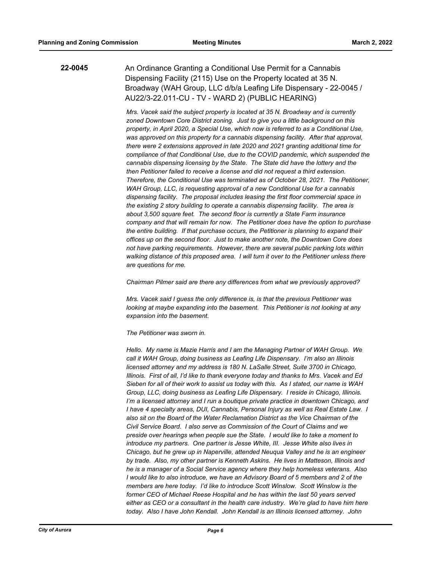#### **22-0045** An Ordinance Granting a Conditional Use Permit for a Cannabis Dispensing Facility (2115) Use on the Property located at 35 N. Broadway (WAH Group, LLC d/b/a Leafing Life Dispensary - 22-0045 / AU22/3-22.011-CU - TV - WARD 2) (PUBLIC HEARING)

*Mrs. Vacek said the subject property is located at 35 N. Broadway and is currently zoned Downtown Core District zoning. Just to give you a little background on this property, in April 2020, a Special Use, which now is referred to as a Conditional Use, was approved on this property for a cannabis dispensing facility. After that approval, there were 2 extensions approved in late 2020 and 2021 granting additional time for compliance of that Conditional Use, due to the COVID pandemic, which suspended the cannabis dispensing licensing by the State. The State did have the lottery and the then Petitioner failed to receive a license and did not request a third extension. Therefore, the Conditional Use was terminated as of October 28, 2021. The Petitioner, WAH Group, LLC, is requesting approval of a new Conditional Use for a cannabis dispensing facility. The proposal includes leasing the first floor commercial space in the existing 2 story building to operate a cannabis dispensing facility. The area is about 3,500 square feet. The second floor is currently a State Farm insurance company and that will remain for now. The Petitioner does have the option to purchase the entire building. If that purchase occurs, the Petitioner is planning to expand their offices up on the second floor. Just to make another note, the Downtown Core does not have parking requirements. However, there are several public parking lots within walking distance of this proposed area. I will turn it over to the Petitioner unless there are questions for me.*

*Chairman Pilmer said are there any differences from what we previously approved?*

*Mrs. Vacek said I guess the only difference is, is that the previous Petitioner was looking at maybe expanding into the basement. This Petitioner is not looking at any expansion into the basement.*

*The Petitioner was sworn in.*

*Hello. My name is Mazie Harris and I am the Managing Partner of WAH Group. We call it WAH Group, doing business as Leafing Life Dispensary. I'm also an Illinois licensed attorney and my address is 180 N. LaSalle Street, Suite 3700 in Chicago, Illinois. First of all, I'd like to thank everyone today and thanks to Mrs. Vacek and Ed Sieben for all of their work to assist us today with this. As I stated, our name is WAH Group, LLC, doing business as Leafing Life Dispensary. I reside in Chicago, Illinois. I'm a licensed attorney and I run a boutique private practice in downtown Chicago, and I have 4 specialty areas, DUI, Cannabis, Personal Injury as well as Real Estate Law. I also sit on the Board of the Water Reclamation District as the Vice Chairman of the Civil Service Board. I also serve as Commission of the Court of Claims and we preside over hearings when people sue the State. I would like to take a moment to introduce my partners. One partner is Jesse White, III. Jesse White also lives in Chicago, but he grew up in Naperville, attended Neuqua Valley and he is an engineer by trade. Also, my other partner is Kenneth Askins. He lives in Matteson, Illinois and he is a manager of a Social Service agency where they help homeless veterans. Also I would like to also introduce, we have an Advisory Board of 5 members and 2 of the members are here today. I'd like to introduce Scott Winslow. Scott Winslow is the former CEO of Michael Reese Hospital and he has within the last 50 years served either as CEO or a consultant in the health care industry. We're glad to have him here today. Also I have John Kendall. John Kendall is an Illinois licensed attorney. John*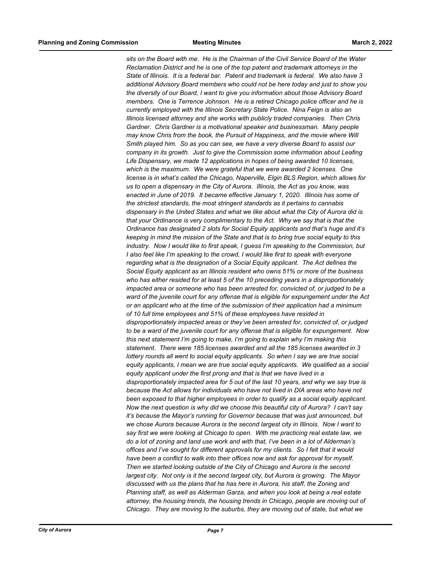*sits on the Board with me. He is the Chairman of the Civil Service Board of the Water Reclamation District and he is one of the top patent and trademark attorneys in the State of Illinois. It is a federal bar. Patent and trademark is federal. We also have 3 additional Advisory Board members who could not be here today and just to show you the diversity of our Board, I want to give you information about those Advisory Board members. One is Terrence Johnson. He is a retired Chicago police officer and he is currently employed with the Illinois Secretary State Police. Nina Feign is also an Illinois licensed attorney and she works with publicly traded companies. Then Chris Gardner. Chris Gardner is a motivational speaker and businessman. Many people may know Chris from the book, the Pursuit of Happiness, and the movie where Will Smith played him. So as you can see, we have a very diverse Board to assist our company in its growth. Just to give the Commission some information about Leafing Life Dispensary, we made 12 applications in hopes of being awarded 10 licenses, which is the maximum. We were grateful that we were awarded 2 licenses. One license is in what's called the Chicago, Naperville, Elgin BLS Region, which allows for us to open a dispensary in the City of Aurora. Illinois, the Act as you know, was enacted in June of 2019. It became effective January 1, 2020. Illinois has some of the strictest standards, the most stringent standards as it pertains to cannabis dispensary in the United States and what we like about what the City of Aurora did is that your Ordinance is very complimentary to the Act. Why we say that is that the Ordinance has designated 2 slots for Social Equity applicants and that's huge and it's keeping in mind the mission of the State and that is to bring true social equity to this industry. Now I would like to first speak, I guess I'm speaking to the Commission, but I also feel like I'm speaking to the crowd, I would like first to speak with everyone regarding what is the designation of a Social Equity applicant. The Act defines the Social Equity applicant as an Illinois resident who owns 51% or more of the business who has either resided for at least 5 of the 10 preceding years in a disproportionately impacted area or someone who has been arrested for, convicted of, or judged to be a ward of the juvenile court for any offense that is eligible for expungement under the Act or an applicant who at the time of the submission of their application had a minimum of 10 full time employees and 51% of these employees have resided in disproportionately impacted areas or they've been arrested for, convicted of, or judged to be a ward of the juvenile court for any offense that is eligible for expungement. Now this next statement I'm going to make, I'm going to explain why I'm making this statement. There were 185 licenses awarded and all the 185 licenses awarded in 3 lottery rounds all went to social equity applicants. So when I say we are true social equity applicants, I mean we are true social equity applicants. We qualified as a social equity applicant under the first prong and that is that we have lived in a disproportionately impacted area for 5 out of the last 10 years, and why we say true is because the Act allows for individuals who have not lived in DIA areas who have not been exposed to that higher employees in order to qualify as a social equity applicant. Now the next question is why did we choose this beautiful city of Aurora? I can't say it's because the Mayor's running for Governor because that was just announced, but we chose Aurora because Aurora is the second largest city in Illinois. Now I want to say first we were looking at Chicago to open. With me practicing real estate law, we do a lot of zoning and land use work and with that, I've been in a lot of Alderman's offices and I've sought for different approvals for my clients. So I felt that it would have been a conflict to walk into their offices now and ask for approval for myself. Then we started looking outside of the City of Chicago and Aurora is the second largest city. Not only is it the second largest city, but Aurora is growing. The Mayor discussed with us the plans that he has here in Aurora, his staff, the Zoning and Planning staff, as well as Alderman Garza, and when you look at being a real estate attorney, the housing trends, the housing trends in Chicago, people are moving out of Chicago. They are moving to the suburbs, they are moving out of state, but what we*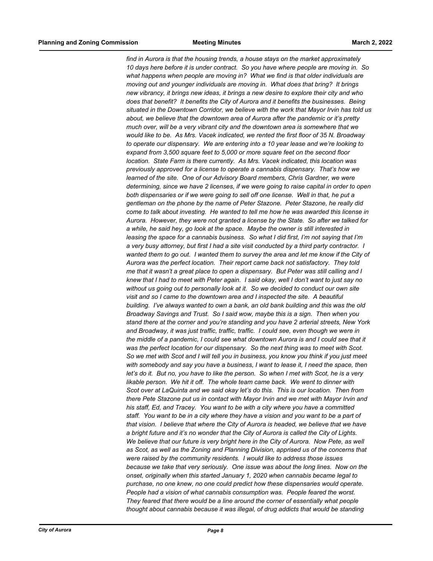*find in Aurora is that the housing trends, a house stays on the market approximately 10 days here before it is under contract. So you have where people are moving in. So what happens when people are moving in? What we find is that older individuals are moving out and younger individuals are moving in. What does that bring? It brings new vibrancy, it brings new ideas, it brings a new desire to explore their city and who does that benefit? It benefits the City of Aurora and it benefits the businesses. Being situated in the Downtown Corridor, we believe with the work that Mayor Irvin has told us about, we believe that the downtown area of Aurora after the pandemic or it's pretty much over, will be a very vibrant city and the downtown area is somewhere that we would like to be. As Mrs. Vacek indicated, we rented the first floor of 35 N. Broadway to operate our dispensary. We are entering into a 10 year lease and we're looking to expand from 3,500 square feet to 5,000 or more square feet on the second floor location. State Farm is there currently. As Mrs. Vacek indicated, this location was previously approved for a license to operate a cannabis dispensary. That's how we learned of the site. One of our Advisory Board members, Chris Gardner, we were determining, since we have 2 licenses, if we were going to raise capital in order to open both dispensaries or if we were going to sell off one license. Well in that, he put a gentleman on the phone by the name of Peter Stazone. Peter Stazone, he really did come to talk about investing. He wanted to tell me how he was awarded this license in Aurora. However, they were not granted a license by the State. So after we talked for a while, he said hey, go look at the space. Maybe the owner is still interested in leasing the space for a cannabis business. So what I did first, I'm not saying that I'm a very busy attorney, but first I had a site visit conducted by a third party contractor. I wanted them to go out. I wanted them to survey the area and let me know if the City of Aurora was the perfect location. Their report came back not satisfactory. They told me that it wasn't a great place to open a dispensary. But Peter was still calling and I knew that I had to meet with Peter again. I said okay, well I don't want to just say no without us going out to personally look at it. So we decided to conduct our own site visit and so I came to the downtown area and I inspected the site. A beautiful building. I've always wanted to own a bank, an old bank building and this was the old Broadway Savings and Trust. So I said wow, maybe this is a sign. Then when you stand there at the corner and you're standing and you have 2 arterial streets, New York and Broadway, it was just traffic, traffic, traffic. I could see, even though we were in the middle of a pandemic, I could see what downtown Aurora is and I could see that it*  was the perfect location for our dispensary. So the next thing was to meet with Scot. *So we met with Scot and I will tell you in business, you know you think if you just meet with somebody and say you have a business, I want to lease it, I need the space, then let's do it. But no, you have to like the person. So when I met with Scot, he is a very likable person. We hit it off. The whole team came back. We went to dinner with Scot over at LaQuinta and we said okay let's do this. This is our location. Then from there Pete Stazone put us in contact with Mayor Irvin and we met with Mayor Irvin and his staff, Ed, and Tracey. You want to be with a city where you have a committed staff. You want to be in a city where they have a vision and you want to be a part of that vision. I believe that where the City of Aurora is headed, we believe that we have a bright future and it's no wonder that the City of Aurora is called the City of Lights.*  We believe that our future is very bright here in the City of Aurora. Now Pete, as well *as Scot, as well as the Zoning and Planning Division, apprised us of the concerns that were raised by the community residents. I would like to address those issues because we take that very seriously. One issue was about the long lines. Now on the onset, originally when this started January 1, 2020 when cannabis became legal to purchase, no one knew, no one could predict how these dispensaries would operate. People had a vision of what cannabis consumption was. People feared the worst. They feared that there would be a line around the corner of essentially what people thought about cannabis because it was illegal, of drug addicts that would be standing*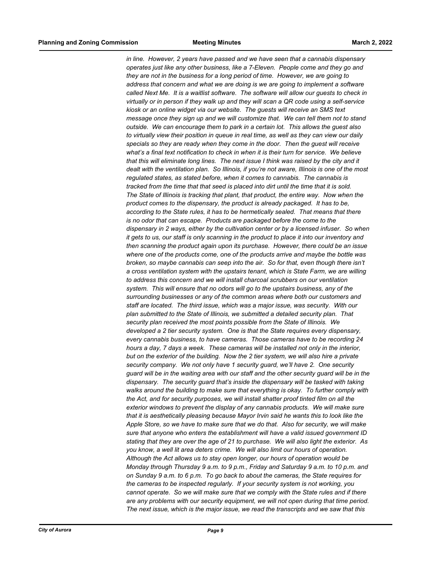*in line. However, 2 years have passed and we have seen that a cannabis dispensary operates just like any other business, like a 7-Eleven. People come and they go and they are not in the business for a long period of time. However, we are going to address that concern and what we are doing is we are going to implement a software called Next Me. It is a waitlist software. The software will allow our guests to check in virtually or in person if they walk up and they will scan a QR code using a self-service kiosk or an online widget via our website. The guests will receive an SMS text message once they sign up and we will customize that. We can tell them not to stand outside. We can encourage them to park in a certain lot. This allows the guest also to virtually view their position in queue in real time, as well as they can view our daily specials so they are ready when they come in the door. Then the guest will receive what's a final text notification to check in when it is their turn for service. We believe that this will eliminate long lines. The next issue I think was raised by the city and it dealt with the ventilation plan. So Illinois, if you're not aware, Illinois is one of the most regulated states, as stated before, when it comes to cannabis. The cannabis is tracked from the time that that seed is placed into dirt until the time that it is sold. The State of Illinois is tracking that plant, that product, the entire way. Now when the product comes to the dispensary, the product is already packaged. It has to be, according to the State rules, it has to be hermetically sealed. That means that there is no odor that can escape. Products are packaged before the come to the dispensary in 2 ways, either by the cultivation center or by a licensed infuser. So when it gets to us, our staff is only scanning in the product to place it into our inventory and then scanning the product again upon its purchase. However, there could be an issue where one of the products come, one of the products arrive and maybe the bottle was broken, so maybe cannabis can seep into the air. So for that, even though there isn't a cross ventilation system with the upstairs tenant, which is State Farm, we are willing to address this concern and we will install charcoal scrubbers on our ventilation system. This will ensure that no odors will go to the upstairs business, any of the surrounding businesses or any of the common areas where both our customers and staff are located. The third issue, which was a major issue, was security. With our plan submitted to the State of Illinois, we submitted a detailed security plan. That security plan received the most points possible from the State of Illinois. We developed a 2 tier security system. One is that the State requires every dispensary, every cannabis business, to have cameras. Those cameras have to be recording 24 hours a day, 7 days a week. These cameras will be installed not only in the interior, but on the exterior of the building. Now the 2 tier system, we will also hire a private security company. We not only have 1 security guard, we'll have 2. One security guard will be in the waiting area with our staff and the other security guard will be in the dispensary. The security guard that's inside the dispensary will be tasked with taking walks around the building to make sure that everything is okay. To further comply with the Act, and for security purposes, we will install shatter proof tinted film on all the exterior windows to prevent the display of any cannabis products. We will make sure that it is aesthetically pleasing because Mayor Irvin said he wants this to look like the Apple Store, so we have to make sure that we do that. Also for security, we will make sure that anyone who enters the establishment will have a valid issued government ID stating that they are over the age of 21 to purchase. We will also light the exterior. As you know, a well lit area deters crime. We will also limit our hours of operation. Although the Act allows us to stay open longer, our hours of operation would be Monday through Thursday 9 a.m. to 9 p.m., Friday and Saturday 9 a.m. to 10 p.m. and on Sunday 9 a.m. to 6 p.m. To go back to about the cameras, the State requires for the cameras to be inspected regularly. If your security system is not working, you cannot operate. So we will make sure that we comply with the State rules and if there are any problems with our security equipment, we will not open during that time period. The next issue, which is the major issue, we read the transcripts and we saw that this*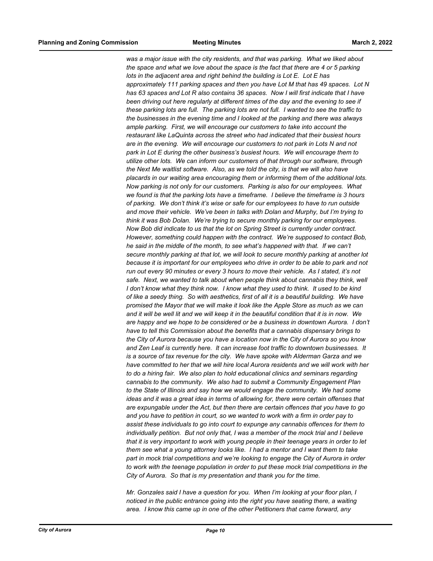*was a major issue with the city residents, and that was parking. What we liked about the space and what we love about the space is the fact that there are 4 or 5 parking lots in the adjacent area and right behind the building is Lot E. Lot E has approximately 111 parking spaces and then you have Lot M that has 49 spaces. Lot N has 63 spaces and Lot R also contains 36 spaces. Now I will first indicate that I have been driving out here regularly at different times of the day and the evening to see if these parking lots are full. The parking lots are not full. I wanted to see the traffic to the businesses in the evening time and I looked at the parking and there was always ample parking. First, we will encourage our customers to take into account the restaurant like LaQuinta across the street who had indicated that their busiest hours are in the evening. We will encourage our customers to not park in Lots N and not park in Lot E during the other business's busiest hours. We will encourage them to utilize other lots. We can inform our customers of that through our software, through the Next Me waitlist software. Also, as we told the city, is that we will also have placards in our waiting area encouraging them or informing them of the additional lots. Now parking is not only for our customers. Parking is also for our employees. What we found is that the parking lots have a timeframe. I believe the timeframe is 3 hours of parking. We don't think it's wise or safe for our employees to have to run outside and move their vehicle. We've been in talks with Dolan and Murphy, but I'm trying to think it was Bob Dolan. We're trying to secure monthly parking for our employees. Now Bob did indicate to us that the lot on Spring Street is currently under contract. However, something could happen with the contract. We're supposed to contact Bob, he said in the middle of the month, to see what's happened with that. If we can't secure monthly parking at that lot, we will look to secure monthly parking at another lot because it is important for our employees who drive in order to be able to park and not run out every 90 minutes or every 3 hours to move their vehicle. As I stated, it's not*  safe. Next, we wanted to talk about when people think about cannabis they think, well *I don't know what they think now. I know what they used to think. It used to be kind of like a seedy thing. So with aesthetics, first of all it is a beautiful building. We have promised the Mayor that we will make it look like the Apple Store as much as we can and it will be well lit and we will keep it in the beautiful condition that it is in now. We are happy and we hope to be considered or be a business in downtown Aurora. I don't have to tell this Commission about the benefits that a cannabis dispensary brings to the City of Aurora because you have a location now in the City of Aurora so you know and Zen Leaf is currently here. It can increase foot traffic to downtown businesses. It is a source of tax revenue for the city. We have spoke with Alderman Garza and we have committed to her that we will hire local Aurora residents and we will work with her to do a hiring fair. We also plan to hold educational clinics and seminars regarding cannabis to the community. We also had to submit a Community Engagement Plan to the State of Illinois and say how we would engage the community. We had some ideas and it was a great idea in terms of allowing for, there were certain offenses that are expungable under the Act, but then there are certain offences that you have to go and you have to petition in court, so we wanted to work with a firm in order pay to assist these individuals to go into court to expunge any cannabis offences for them to individually petition. But not only that, I was a member of the mock trial and I believe that it is very important to work with young people in their teenage years in order to let them see what a young attorney looks like. I had a mentor and I want them to take part in mock trial competitions and we're looking to engage the City of Aurora in order to work with the teenage population in order to put these mock trial competitions in the City of Aurora. So that is my presentation and thank you for the time.*

*Mr. Gonzales said I have a question for you. When I'm looking at your floor plan, I noticed in the public entrance going into the right you have seating there, a waiting area. I know this came up in one of the other Petitioners that came forward, any*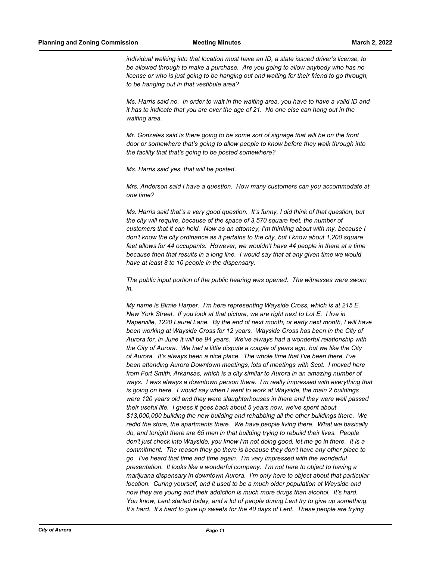*individual walking into that location must have an ID, a state issued driver's license, to be allowed through to make a purchase. Are you going to allow anybody who has no license or who is just going to be hanging out and waiting for their friend to go through, to be hanging out in that vestibule area?*

*Ms. Harris said no. In order to wait in the waiting area, you have to have a valid ID and it has to indicate that you are over the age of 21. No one else can hang out in the waiting area.*

*Mr. Gonzales said is there going to be some sort of signage that will be on the front door or somewhere that's going to allow people to know before they walk through into the facility that that's going to be posted somewhere?*

*Ms. Harris said yes, that will be posted.*

*Mrs. Anderson said I have a question. How many customers can you accommodate at one time?*

*Ms. Harris said that's a very good question. It's funny, I did think of that question, but the city will require, because of the space of 3,570 square feet, the number of customers that it can hold. Now as an attorney, I'm thinking about with my, because I don't know the city ordinance as it pertains to the city, but I know about 1,200 square feet allows for 44 occupants. However, we wouldn't have 44 people in there at a time because then that results in a long line. I would say that at any given time we would have at least 8 to 10 people in the dispensary.*

*The public input portion of the public hearing was opened. The witnesses were sworn in.*

*My name is Birnie Harper. I'm here representing Wayside Cross, which is at 215 E. New York Street. If you look at that picture, we are right next to Lot E. I live in Naperville, 1220 Laurel Lane. By the end of next month, or early next month, I will have been working at Wayside Cross for 12 years. Wayside Cross has been in the City of Aurora for, in June it will be 94 years. We've always had a wonderful relationship with the City of Aurora. We had a little dispute a couple of years ago, but we like the City of Aurora. It's always been a nice place. The whole time that I've been there, I've been attending Aurora Downtown meetings, lots of meetings with Scot. I moved here from Fort Smith, Arkansas, which is a city similar to Aurora in an amazing number of*  ways. I was always a downtown person there. I'm really impressed with everything that *is going on here. I would say when I went to work at Wayside, the main 2 buildings were 120 years old and they were slaughterhouses in there and they were well passed their useful life. I guess it goes back about 5 years now, we've spent about \$13,000,000 building the new building and rehabbing all the other buildings there. We redid the store, the apartments there. We have people living there. What we basically do, and tonight there are 65 men in that building trying to rebuild their lives. People don't just check into Wayside, you know I'm not doing good, let me go in there. It is a commitment. The reason they go there is because they don't have any other place to go. I've heard that time and time again. I'm very impressed with the wonderful presentation. It looks like a wonderful company. I'm not here to object to having a marijuana dispensary in downtown Aurora. I'm only here to object about that particular location.* Curing yourself, and it used to be a much older population at Wayside and *now they are young and their addiction is much more drugs than alcohol. It's hard. You know, Lent started today, and a lot of people during Lent try to give up something. It's hard. It's hard to give up sweets for the 40 days of Lent. These people are trying*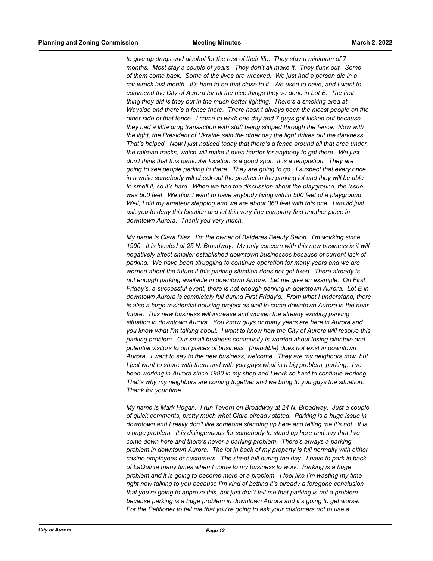*to give up drugs and alcohol for the rest of their life. They stay a minimum of 7 months. Most stay a couple of years. They don't all make it. They flunk out. Some of them come back. Some of the lives are wrecked. We just had a person die in a car wreck last month. It's hard to be that close to it. We used to have, and I want to commend the City of Aurora for all the nice things they've done in Lot E. The first thing they did is they put in the much better lighting. There's a smoking area at Wayside and there's a fence there. There hasn't always been the nicest people on the other side of that fence. I came to work one day and 7 guys got kicked out because they had a little drug transaction with stuff being slipped through the fence. Now with the light, the President of Ukraine said the other day the light drives out the darkness. That's helped. Now I just noticed today that there's a fence around all that area under the railroad tracks, which will make it even harder for anybody to get there. We just don't think that this particular location is a good spot. It is a temptation. They are going to see people parking in there. They are going to go. I suspect that every once in a while somebody will check out the product in the parking lot and they will be able to smell it, so it's hard. When we had the discussion about the playground, the issue*  was 500 feet. We didn't want to have anybody living within 500 feet of a playground. *Well, I did my amateur stepping and we are about 360 feet with this one. I would just ask you to deny this location and let this very fine company find another place in downtown Aurora. Thank you very much.*

*My name is Clara Diaz. I'm the owner of Balderas Beauty Salon. I'm working since 1990. It is located at 25 N. Broadway. My only concern with this new business is it will negatively affect smaller established downtown businesses because of current lack of parking. We have been struggling to continue operation for many years and we are worried about the future if this parking situation does not get fixed. There already is not enough parking available in downtown Aurora. Let me give an example. On First Friday's, a successful event, there is not enough parking in downtown Aurora. Lot E in downtown Aurora is completely full during First Friday's. From what I understand, there is also a large residential housing project as well to come downtown Aurora in the near future. This new business will increase and worsen the already existing parking situation in downtown Aurora. You know guys or many years are here in Aurora and you know what I'm talking about. I want to know how the City of Aurora will resolve this parking problem. Our small business community is worried about losing clientele and potential visitors to our places of business. (Inaudible) does not exist in downtown Aurora. I want to say to the new business, welcome. They are my neighbors now, but I just want to share with them and with you guys what is a big problem, parking. I've been working in Aurora since 1990 in my shop and I work so hard to continue working. That's why my neighbors are coming together and we bring to you guys the situation. Thank for your time.*

*My name is Mark Hogan. I run Tavern on Broadway at 24 N. Broadway. Just a couple of quick comments, pretty much what Clara already stated. Parking is a huge issue in downtown and I really don't like someone standing up here and telling me it's not. It is a huge problem. It is disingenuous for somebody to stand up here and say that I've come down here and there's never a parking problem. There's always a parking problem in downtown Aurora. The lot in back of my property is full normally with either casino employees or customers. The street full during the day. I have to park in back of LaQuinta many times when I come to my business to work. Parking is a huge problem and it is going to become more of a problem. I feel like I'm wasting my time right now talking to you because I'm kind of betting it's already a foregone conclusion that you're going to approve this, but just don't tell me that parking is not a problem because parking is a huge problem in downtown Aurora and it's going to get worse. For the Petitioner to tell me that you're going to ask your customers not to use a*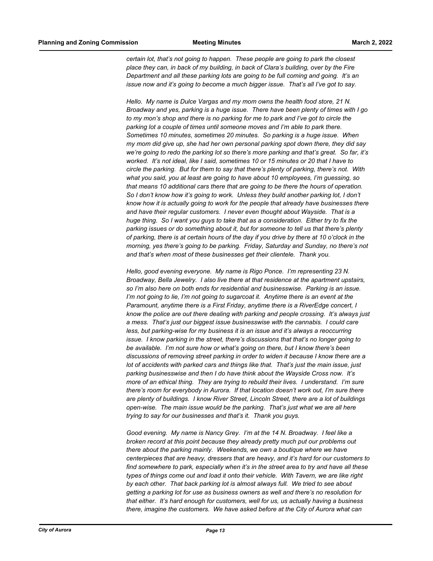*certain lot, that's not going to happen. These people are going to park the closest place they can, in back of my building, in back of Clara's building, over by the Fire Department and all these parking lots are going to be full coming and going. It's an issue now and it's going to become a much bigger issue. That's all I've got to say.*

*Hello. My name is Dulce Vargas and my mom owns the health food store, 21 N. Broadway and yes, parking is a huge issue. There have been plenty of times with I go to my mon's shop and there is no parking for me to park and I've got to circle the parking lot a couple of times until someone moves and I'm able to park there. Sometimes 10 minutes, sometimes 20 minutes. So parking is a huge issue. When my mom did give up, she had her own personal parking spot down there, they did say we're going to redo the parking lot so there's more parking and that's great. So far, it's worked. It's not ideal, like I said, sometimes 10 or 15 minutes or 20 that I have to circle the parking. But for them to say that there's plenty of parking, there's not. With what you said, you at least are going to have about 10 employees, I'm guessing, so that means 10 additional cars there that are going to be there the hours of operation.*  So I don't know how it's going to work. Unless they build another parking lot, I don't *know how it is actually going to work for the people that already have businesses there and have their regular customers. I never even thought about Wayside. That is a huge thing. So I want you guys to take that as a consideration. Either try to fix the parking issues or do something about it, but for someone to tell us that there's plenty of parking, there is at certain hours of the day if you drive by there at 10 o'clock in the morning, yes there's going to be parking. Friday, Saturday and Sunday, no there's not and that's when most of these businesses get their clientele. Thank you.*

*Hello, good evening everyone. My name is Rigo Ponce. I'm representing 23 N. Broadway, Bella Jewelry. I also live there at that residence at the apartment upstairs, so I'm also here on both ends for residential and businesswise. Parking is an issue. I'm not going to lie, I'm not going to sugarcoat it. Anytime there is an event at the Paramount, anytime there is a First Friday, anytime there is a RiverEdge concert, I know the police are out there dealing with parking and people crossing. It's always just a mess. That's just our biggest issue businesswise with the cannabis. I could care less, but parking-wise for my business it is an issue and it's always a reoccurring issue. I know parking in the street, there's discussions that that's no longer going to be available. I'm not sure how or what's going on there, but I know there's been discussions of removing street parking in order to widen it because I know there are a lot of accidents with parked cars and things like that. That's just the main issue, just parking businesswise and then I do have think about the Wayside Cross now. It's more of an ethical thing. They are trying to rebuild their lives. I understand. I'm sure there's room for everybody in Aurora. If that location doesn't work out, I'm sure there are plenty of buildings. I know River Street, Lincoln Street, there are a lot of buildings open-wise. The main issue would be the parking. That's just what we are all here trying to say for our businesses and that's it. Thank you guys.*

*Good evening. My name is Nancy Grey. I'm at the 14 N. Broadway. I feel like a broken record at this point because they already pretty much put our problems out there about the parking mainly. Weekends, we own a boutique where we have centerpieces that are heavy, dressers that are heavy, and it's hard for our customers to find somewhere to park, especially when it's in the street area to try and have all these types of things come out and load it onto their vehicle. With Tavern, we are like right by each other. That back parking lot is almost always full. We tried to see about getting a parking lot for use as business owners as well and there's no resolution for that either. It's hard enough for customers, well for us, us actually having a business there, imagine the customers. We have asked before at the City of Aurora what can*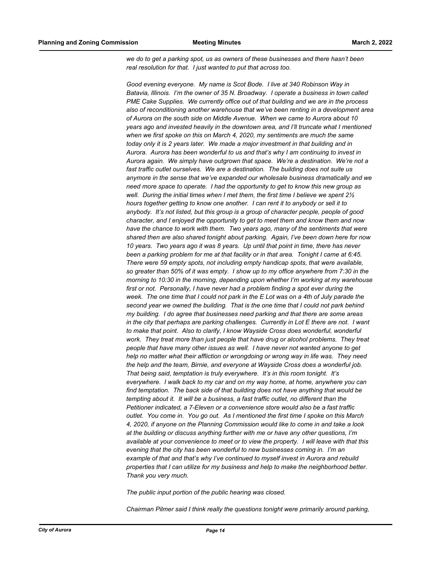*we do to get a parking spot, us as owners of these businesses and there hasn't been real resolution for that. I just wanted to put that across too.*

Good evening everyone. My name is Scot Bode. I live at 340 Robinson Way in *Batavia, Illinois. I'm the owner of 35 N. Broadway. I operate a business in town called PME Cake Supplies. We currently office out of that building and we are in the process also of reconditioning another warehouse that we've been renting in a development area of Aurora on the south side on Middle Avenue. When we came to Aurora about 10 years ago and invested heavily in the downtown area, and I'll truncate what I mentioned when we first spoke on this on March 4, 2020, my sentiments are much the same today only it is 2 years later. We made a major investment in that building and in Aurora. Aurora has been wonderful to us and that's why I am continuing to invest in Aurora again. We simply have outgrown that space. We're a destination. We're not a fast traffic outlet ourselves. We are a destination. The building does not suite us anymore in the sense that we've expanded our wholesale business dramatically and we need more space to operate. I had the opportunity to get to know this new group as well. During the initial times when I met them, the first time I believe we spent 2½ hours together getting to know one another. I can rent it to anybody or sell it to anybody. It's not listed, but this group is a group of character people, people of good character, and I enjoyed the opportunity to get to meet them and know them and now have the chance to work with them. Two years ago, many of the sentiments that were shared then are also shared tonight about parking. Again, I've been down here for now 10 years. Two years ago it was 8 years. Up until that point in time, there has never been a parking problem for me at that facility or in that area. Tonight I came at 6:45. There were 59 empty spots, not including empty handicap spots, that were available, so greater than 50% of it was empty. I show up to my office anywhere from 7:30 in the morning to 10:30 in the morning, depending upon whether I'm working at my warehouse first or not. Personally, I have never had a problem finding a spot ever during the week. The one time that I could not park in the E Lot was on a 4th of July parade the second year we owned the building. That is the one time that I could not park behind my building. I do agree that businesses need parking and that there are some areas in the city that perhaps are parking challenges. Currently in Lot E there are not. I want to make that point. Also to clarify, I know Wayside Cross does wonderful, wonderful*  work. They treat more than just people that have drug or alcohol problems. They treat *people that have many other issues as well. I have never not wanted anyone to get help no matter what their affliction or wrongdoing or wrong way in life was. They need the help and the team, Birnie, and everyone at Wayside Cross does a wonderful job. That being said, temptation is truly everywhere. It's in this room tonight. It's everywhere. I walk back to my car and on my way home, at home, anywhere you can find temptation. The back side of that building does not have anything that would be tempting about it. It will be a business, a fast traffic outlet, no different than the Petitioner indicated, a 7-Eleven or a convenience store would also be a fast traffic outlet. You come in. You go out. As I mentioned the first time I spoke on this March 4, 2020, if anyone on the Planning Commission would like to come in and take a look at the building or discuss anything further with me or have any other questions, I'm available at your convenience to meet or to view the property. I will leave with that this evening that the city has been wonderful to new businesses coming in. I'm an example of that and that's why I've continued to myself invest in Aurora and rebuild properties that I can utilize for my business and help to make the neighborhood better. Thank you very much.*

*The public input portion of the public hearing was closed.*

*Chairman Pilmer said I think really the questions tonight were primarily around parking,*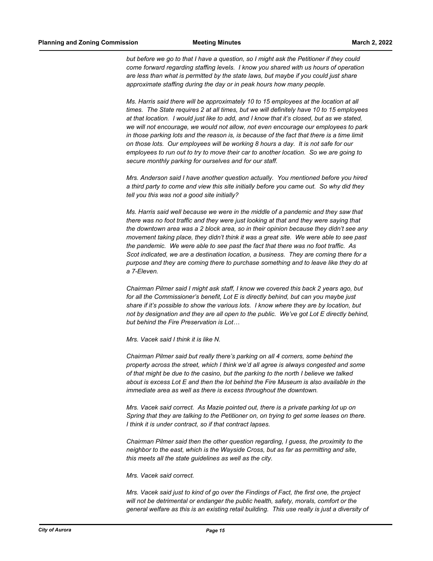*but before we go to that I have a question, so I might ask the Petitioner if they could come forward regarding staffing levels. I know you shared with us hours of operation are less than what is permitted by the state laws, but maybe if you could just share approximate staffing during the day or in peak hours how many people.*

*Ms. Harris said there will be approximately 10 to 15 employees at the location at all times. The State requires 2 at all times, but we will definitely have 10 to 15 employees at that location. I would just like to add, and I know that it's closed, but as we stated, we will not encourage, we would not allow, not even encourage our employees to park in those parking lots and the reason is, is because of the fact that there is a time limit on those lots. Our employees will be working 8 hours a day. It is not safe for our employees to run out to try to move their car to another location. So we are going to secure monthly parking for ourselves and for our staff.*

*Mrs. Anderson said I have another question actually. You mentioned before you hired a third party to come and view this site initially before you came out. So why did they tell you this was not a good site initially?*

*Ms. Harris said well because we were in the middle of a pandemic and they saw that there was no foot traffic and they were just looking at that and they were saying that the downtown area was a 2 block area, so in their opinion because they didn't see any movement taking place, they didn't think it was a great site. We were able to see past the pandemic. We were able to see past the fact that there was no foot traffic. As Scot indicated, we are a destination location, a business. They are coming there for a purpose and they are coming there to purchase something and to leave like they do at a 7-Eleven.*

*Chairman Pilmer said I might ask staff, I know we covered this back 2 years ago, but for all the Commissioner's benefit, Lot E is directly behind, but can you maybe just share if it's possible to show the various lots. I know where they are by location, but not by designation and they are all open to the public. We've got Lot E directly behind, but behind the Fire Preservation is Lot…*

*Mrs. Vacek said I think it is like N.*

*Chairman Pilmer said but really there's parking on all 4 corners, some behind the property across the street, which I think we'd all agree is always congested and some of that might be due to the casino, but the parking to the north I believe we talked about is excess Lot E and then the lot behind the Fire Museum is also available in the immediate area as well as there is excess throughout the downtown.*

*Mrs. Vacek said correct. As Mazie pointed out, there is a private parking lot up on Spring that they are talking to the Petitioner on, on trying to get some leases on there. I think it is under contract, so if that contract lapses.*

*Chairman Pilmer said then the other question regarding, I guess, the proximity to the neighbor to the east, which is the Wayside Cross, but as far as permitting and site, this meets all the state guidelines as well as the city.*

*Mrs. Vacek said correct.*

*Mrs. Vacek said just to kind of go over the Findings of Fact, the first one, the project will not be detrimental or endanger the public health, safety, morals, comfort or the general welfare as this is an existing retail building. This use really is just a diversity of*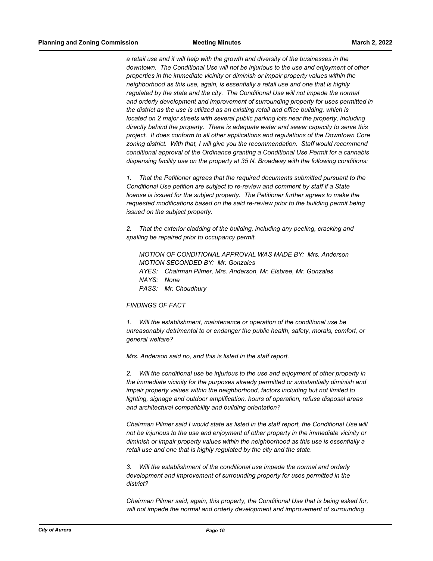*a retail use and it will help with the growth and diversity of the businesses in the downtown. The Conditional Use will not be injurious to the use and enjoyment of other properties in the immediate vicinity or diminish or impair property values within the neighborhood as this use, again, is essentially a retail use and one that is highly regulated by the state and the city. The Conditional Use will not impede the normal and orderly development and improvement of surrounding property for uses permitted in the district as the use is utilized as an existing retail and office building, which is located on 2 major streets with several public parking lots near the property, including directly behind the property. There is adequate water and sewer capacity to serve this project. It does conform to all other applications and regulations of the Downtown Core zoning district. With that, I will give you the recommendation. Staff would recommend conditional approval of the Ordinance granting a Conditional Use Permit for a cannabis dispensing facility use on the property at 35 N. Broadway with the following conditions:*

*1. That the Petitioner agrees that the required documents submitted pursuant to the Conditional Use petition are subject to re-review and comment by staff if a State license is issued for the subject property. The Petitioner further agrees to make the requested modifications based on the said re-review prior to the building permit being issued on the subject property.*

*2. That the exterior cladding of the building, including any peeling, cracking and spalling be repaired prior to occupancy permit.*

*MOTION OF CONDITIONAL APPROVAL WAS MADE BY: Mrs. Anderson MOTION SECONDED BY: Mr. Gonzales AYES: Chairman Pilmer, Mrs. Anderson, Mr. Elsbree, Mr. Gonzales NAYS: None PASS: Mr. Choudhury*

#### *FINDINGS OF FACT*

*1. Will the establishment, maintenance or operation of the conditional use be unreasonably detrimental to or endanger the public health, safety, morals, comfort, or general welfare?*

*Mrs. Anderson said no, and this is listed in the staff report.*

*2. Will the conditional use be injurious to the use and enjoyment of other property in the immediate vicinity for the purposes already permitted or substantially diminish and impair property values within the neighborhood, factors including but not limited to lighting, signage and outdoor amplification, hours of operation, refuse disposal areas and architectural compatibility and building orientation?*

*Chairman Pilmer said I would state as listed in the staff report, the Conditional Use will not be injurious to the use and enjoyment of other property in the immediate vicinity or diminish or impair property values within the neighborhood as this use is essentially a retail use and one that is highly regulated by the city and the state.*

*3. Will the establishment of the conditional use impede the normal and orderly development and improvement of surrounding property for uses permitted in the district?*

*Chairman Pilmer said, again, this property, the Conditional Use that is being asked for,*  will not impede the normal and orderly development and improvement of surrounding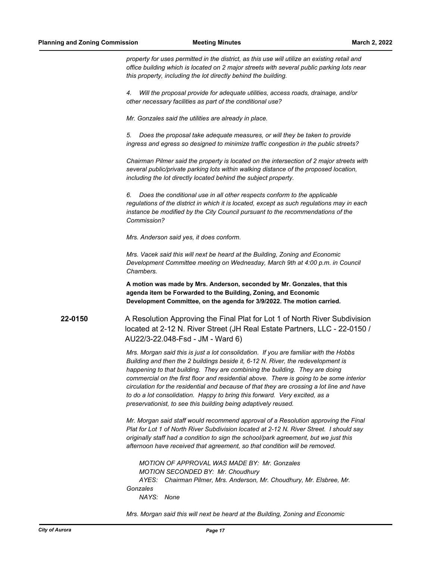*property for uses permitted in the district, as this use will utilize an existing retail and office building which is located on 2 major streets with several public parking lots near this property, including the lot directly behind the building.*

*4. Will the proposal provide for adequate utilities, access roads, drainage, and/or other necessary facilities as part of the conditional use?*

*Mr. Gonzales said the utilities are already in place.*

*5. Does the proposal take adequate measures, or will they be taken to provide ingress and egress so designed to minimize traffic congestion in the public streets?*

*Chairman Pilmer said the property is located on the intersection of 2 major streets with several public/private parking lots within walking distance of the proposed location, including the lot directly located behind the subject property.*

*6. Does the conditional use in all other respects conform to the applicable regulations of the district in which it is located, except as such regulations may in each instance be modified by the City Council pursuant to the recommendations of the Commission?*

*Mrs. Anderson said yes, it does conform.*

*Mrs. Vacek said this will next be heard at the Building, Zoning and Economic Development Committee meeting on Wednesday, March 9th at 4:00 p.m. in Council Chambers.*

**A motion was made by Mrs. Anderson, seconded by Mr. Gonzales, that this agenda item be Forwarded to the Building, Zoning, and Economic Development Committee, on the agenda for 3/9/2022. The motion carried.**

**22-0150** A Resolution Approving the Final Plat for Lot 1 of North River Subdivision located at 2-12 N. River Street (JH Real Estate Partners, LLC - 22-0150 / AU22/3-22.048-Fsd - JM - Ward 6)

> *Mrs. Morgan said this is just a lot consolidation. If you are familiar with the Hobbs Building and then the 2 buildings beside it, 6-12 N. River, the redevelopment is happening to that building. They are combining the building. They are doing commercial on the first floor and residential above. There is going to be some interior circulation for the residential and because of that they are crossing a lot line and have to do a lot consolidation. Happy to bring this forward. Very excited, as a preservationist, to see this building being adaptively reused.*

> *Mr. Morgan said staff would recommend approval of a Resolution approving the Final Plat for Lot 1 of North River Subdivision located at 2-12 N. River Street. I should say originally staff had a condition to sign the school/park agreement, but we just this afternoon have received that agreement, so that condition will be removed.*

*MOTION OF APPROVAL WAS MADE BY: Mr. Gonzales MOTION SECONDED BY: Mr. Choudhury AYES: Chairman Pilmer, Mrs. Anderson, Mr. Choudhury, Mr. Elsbree, Mr. Gonzales NAYS: None*

*Mrs. Morgan said this will next be heard at the Building, Zoning and Economic*